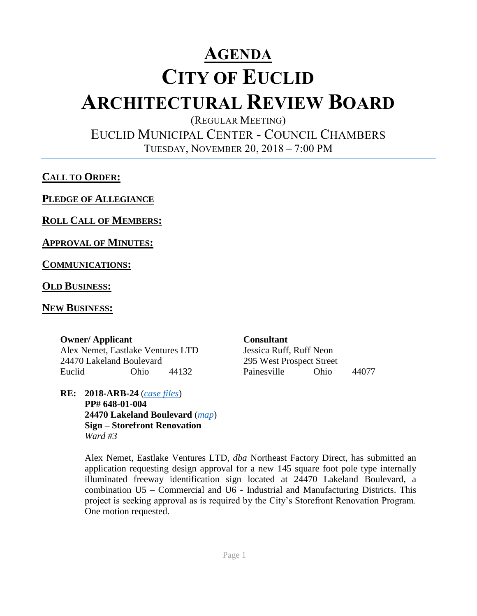# **AGENDA CITY OF EUCLID ARCHITECTURAL REVIEW BOARD**

(REGULAR MEETING)

EUCLID MUNICIPAL CENTER - COUNCIL CHAMBERS TUESDAY, NOVEMBER 20, 2018 – 7:00 PM

**CALL TO ORDER:**

**PLEDGE OF ALLEGIANCE**

**ROLL CALL OF MEMBERS:**

**APPROVAL OF MINUTES:**

**COMMUNICATIONS:**

**OLD BUSINESS:**

## **NEW BUSINESS:**

## **Owner/ Applicant Consultant**

Alex Nemet, Eastlake Ventures LTD Jessica Ruff, Ruff Neon 24470 Lakeland Boulevard 295 West Prospect Street Euclid Ohio 44132 Painesville Ohio 44077

**RE: 2018-ARB-24** (*[case files](http://www.cityofeuclid.com/uploads/ARB_Projects/Northeast_Factory_Direct/Northeast_Factory_Direct_Sign.pdf)*) **PP# 648-01-004 24470 Lakeland Boulevard** (*[map](https://goo.gl/maps/Y2uqcCX2hFk)*) **Sign – Storefront Renovation** *Ward #3*

Alex Nemet, Eastlake Ventures LTD, *dba* Northeast Factory Direct, has submitted an application requesting design approval for a new 145 square foot pole type internally illuminated freeway identification sign located at 24470 Lakeland Boulevard, a combination U5 – Commercial and U6 - Industrial and Manufacturing Districts. This project is seeking approval as is required by the City's Storefront Renovation Program. One motion requested.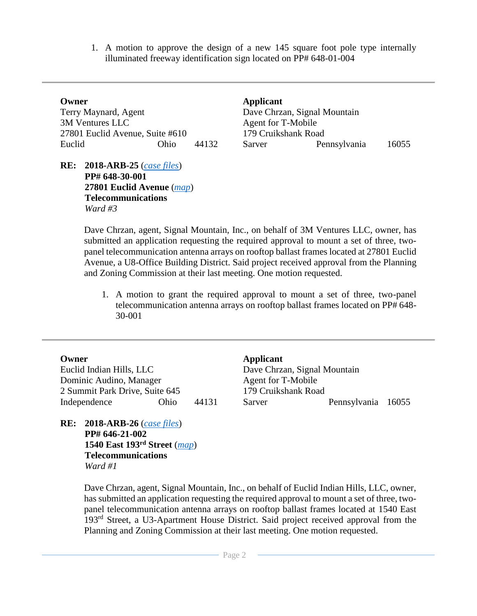1. A motion to approve the design of a new 145 square foot pole type internally illuminated freeway identification sign located on PP# 648-01-004

| Owner                           |      |       |
|---------------------------------|------|-------|
| Terry Maynard, Agent            |      |       |
| 3M Ventures LLC                 |      |       |
| 27801 Euclid Avenue, Suite #610 |      |       |
| Euclid                          | Ohio | 44132 |

**RE: 2018-ARB-25** (*[case files](http://www.cityofeuclid.com/uploads/Scanned_PZ_Files/27801_Euclid_Avenue_-_SPU.pdf)*) **PP# 648-30-001 27801 Euclid Avenue** (*[map](https://goo.gl/maps/cuPAezZ3d9S2)*) **Telecommunications**  *Ward #3*

Applicant Dave Chrzan, Signal Mountain Agent for T-Mobile 179 Cruikshank Road Sarver Pennsylvania 16055

Dave Chrzan, agent, Signal Mountain, Inc., on behalf of 3M Ventures LLC, owner, has submitted an application requesting the required approval to mount a set of three, twopanel telecommunication antenna arrays on rooftop ballast frames located at 27801 Euclid Avenue, a U8-Office Building District. Said project received approval from the Planning and Zoning Commission at their last meeting. One motion requested.

1. A motion to grant the required approval to mount a set of three, two-panel telecommunication antenna arrays on rooftop ballast frames located on PP# 648- 30-001

Euclid Indian Hills, LLC Dominic Audino, Manager 2 Summit Park Drive, Suite 645 179 Cruikshank Road

**RE: 2018-ARB-26** (*[case files](http://www.cityofeuclid.com/uploads/Scanned_PZ_Files/1540_East_193_-_SPU.pdf)*) **PP# 646-21-002 1540 East 193rd Street** (*[map](https://goo.gl/maps/Ry9bnCZoXT12)*) **Telecommunications** *Ward #1*

**Owner Applicant** Dave Chrzan, Signal Mountain Agent for T-Mobile Independence Ohio 44131 Sarver Pennsylvania 16055

Dave Chrzan, agent, Signal Mountain, Inc., on behalf of Euclid Indian Hills, LLC, owner, has submitted an application requesting the required approval to mount a set of three, twopanel telecommunication antenna arrays on rooftop ballast frames located at 1540 East 193rd Street, a U3-Apartment House District. Said project received approval from the Planning and Zoning Commission at their last meeting. One motion requested.